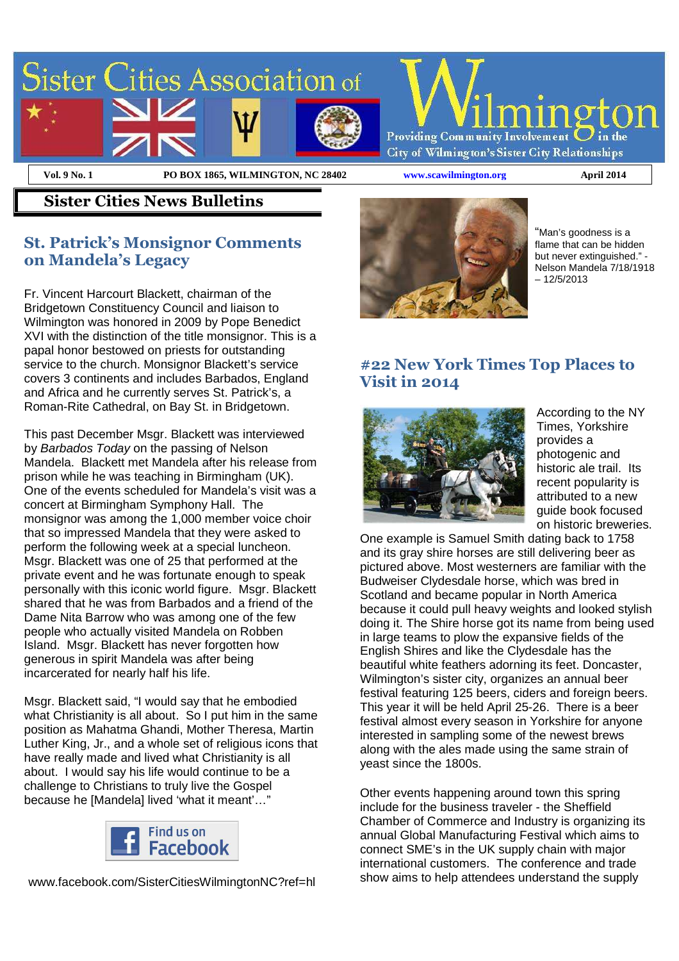

#### **Sister Cities News Bulletins**

#### **St. Patrick's Monsignor Comments on Mandela's Legacy**

Fr. Vincent Harcourt Blackett, chairman of the Bridgetown Constituency Council and liaison to Wilmington was honored in 2009 by Pope Benedict XVI with the distinction of the title monsignor. This is a papal honor bestowed on priests for outstanding service to the church. Monsignor Blackett's service covers 3 continents and includes Barbados, England and Africa and he currently serves St. Patrick's, a Roman-Rite Cathedral, on Bay St. in Bridgetown.

This past December Msgr. Blackett was interviewed by Barbados Today on the passing of Nelson Mandela. Blackett met Mandela after his release from prison while he was teaching in Birmingham (UK). One of the events scheduled for Mandela's visit was a concert at Birmingham Symphony Hall. The monsignor was among the 1,000 member voice choir that so impressed Mandela that they were asked to perform the following week at a special luncheon. Msgr. Blackett was one of 25 that performed at the private event and he was fortunate enough to speak personally with this iconic world figure. Msgr. Blackett shared that he was from Barbados and a friend of the Dame Nita Barrow who was among one of the few people who actually visited Mandela on Robben Island. Msgr. Blackett has never forgotten how generous in spirit Mandela was after being incarcerated for nearly half his life.

Msgr. Blackett said, "I would say that he embodied what Christianity is all about. So I put him in the same position as Mahatma Ghandi, Mother Theresa, Martin Luther King, Jr., and a whole set of religious icons that have really made and lived what Christianity is all about. I would say his life would continue to be a challenge to Christians to truly live the Gospel because he [Mandela] lived 'what it meant'…"



www.facebook.com/SisterCitiesWilmingtonNC?ref=hl



"Man's goodness is a flame that can be hidden but never extinguished." - Nelson Mandela 7/18/1918 – 12/5/2013

## **#22 New York Times Top Places to Visit in 2014**



According to the NY Times, Yorkshire provides a photogenic and historic ale trail. Its recent popularity is attributed to a new guide book focused on historic breweries.

One example is Samuel Smith dating back to 1758 and its gray shire horses are still delivering beer as pictured above. Most westerners are familiar with the Budweiser Clydesdale horse, which was bred in Scotland and became popular in North America because it could pull heavy weights and looked stylish doing it. The Shire horse got its name from being used in large teams to plow the expansive fields of the English Shires and like the Clydesdale has the beautiful white feathers adorning its feet. Doncaster, Wilmington's sister city, organizes an annual beer festival featuring 125 beers, ciders and foreign beers. This year it will be held April 25-26. There is a beer festival almost every season in Yorkshire for anyone interested in sampling some of the newest brews along with the ales made using the same strain of yeast since the 1800s.

Other events happening around town this spring include for the business traveler - the Sheffield Chamber of Commerce and Industry is organizing its annual Global Manufacturing Festival which aims to connect SME's in the UK supply chain with major international customers. The conference and trade show aims to help attendees understand the supply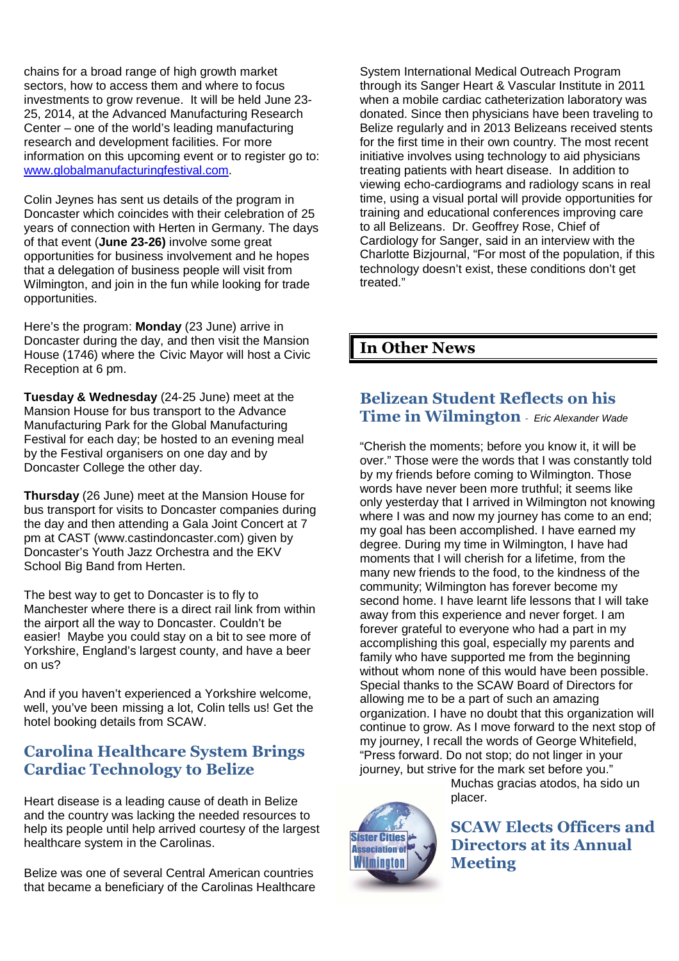chains for a broad range of high growth market sectors, how to access them and where to focus investments to grow revenue. It will be held June 23- 25, 2014, at the Advanced Manufacturing Research Center – one of the world's leading manufacturing research and development facilities. For more information on this upcoming event or to register go to: www.globalmanufacturingfestival.com.

Colin Jeynes has sent us details of the program in Doncaster which coincides with their celebration of 25 years of connection with Herten in Germany. The days of that event (**June 23-26)** involve some great opportunities for business involvement and he hopes that a delegation of business people will visit from Wilmington, and join in the fun while looking for trade opportunities.

Here's the program: **Monday** (23 June) arrive in Doncaster during the day, and then visit the Mansion House (1746) where the Civic Mayor will host a Civic Reception at 6 pm.

**Tuesday & Wednesday** (24-25 June) meet at the Mansion House for bus transport to the Advance Manufacturing Park for the Global Manufacturing Festival for each day; be hosted to an evening meal by the Festival organisers on one day and by Doncaster College the other day.

**Thursday** (26 June) meet at the Mansion House for bus transport for visits to Doncaster companies during the day and then attending a Gala Joint Concert at 7 pm at CAST (www.castindoncaster.com) given by Doncaster's Youth Jazz Orchestra and the EKV School Big Band from Herten.

The best way to get to Doncaster is to fly to Manchester where there is a direct rail link from within the airport all the way to Doncaster. Couldn't be easier! Maybe you could stay on a bit to see more of Yorkshire, England's largest county, and have a beer on us?

And if you haven't experienced a Yorkshire welcome, well, you've been missing a lot, Colin tells us! Get the hotel booking details from SCAW.

## **Carolina Healthcare System Brings Cardiac Technology to Belize**

Heart disease is a leading cause of death in Belize and the country was lacking the needed resources to help its people until help arrived courtesy of the largest healthcare system in the Carolinas.

Belize was one of several Central American countries that became a beneficiary of the Carolinas Healthcare System International Medical Outreach Program through its Sanger Heart & Vascular Institute in 2011 when a mobile cardiac catheterization laboratory was donated. Since then physicians have been traveling to Belize regularly and in 2013 Belizeans received stents for the first time in their own country. The most recent initiative involves using technology to aid physicians treating patients with heart disease. In addition to viewing echo-cardiograms and radiology scans in real time, using a visual portal will provide opportunities for training and educational conferences improving care to all Belizeans. Dr. Geoffrey Rose, Chief of Cardiology for Sanger, said in an interview with the Charlotte Bizjournal, "For most of the population, if this technology doesn't exist, these conditions don't get treated."

### **In Other News**

#### **Belizean Student Reflects on his Time in Wilmington** - Eric Alexander Wade

"Cherish the moments; before you know it, it will be over." Those were the words that I was constantly told by my friends before coming to Wilmington. Those words have never been more truthful; it seems like only yesterday that I arrived in Wilmington not knowing where I was and now my journey has come to an end; my goal has been accomplished. I have earned my degree. During my time in Wilmington, I have had moments that I will cherish for a lifetime, from the many new friends to the food, to the kindness of the community; Wilmington has forever become my second home. I have learnt life lessons that I will take away from this experience and never forget. I am forever grateful to everyone who had a part in my accomplishing this goal, especially my parents and family who have supported me from the beginning without whom none of this would have been possible. Special thanks to the SCAW Board of Directors for allowing me to be a part of such an amazing organization. I have no doubt that this organization will continue to grow. As I move forward to the next stop of my journey, I recall the words of George Whitefield, "Press forward. Do not stop; do not linger in your journey, but strive for the mark set before you."

> Muchas gracias atodos, ha sido un placer.

**SCAW Elects Officers and Directors at its Annual Meeting**